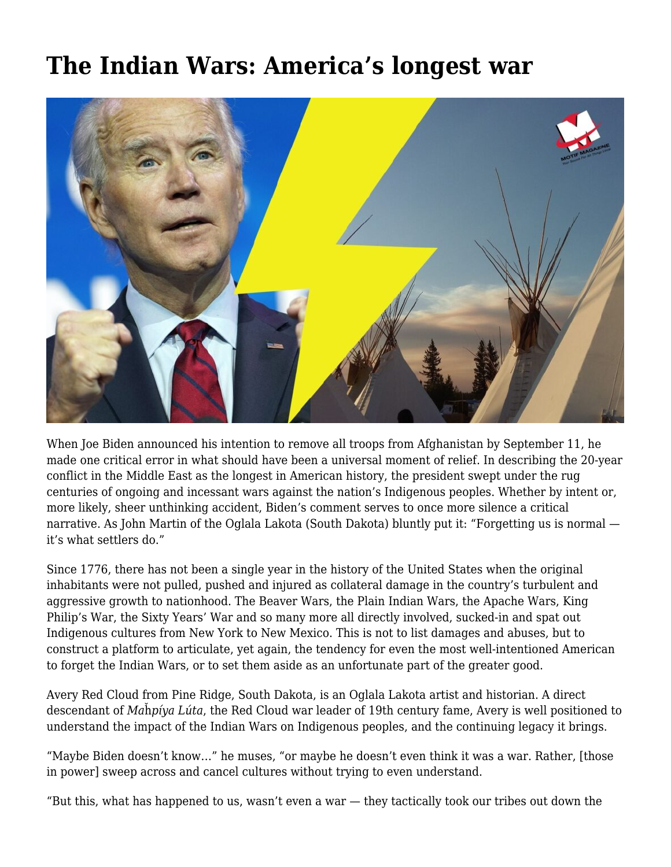## **[The Indian Wars: America's longest war](https://motifri.com/the-indian-wars-americas-longest-war/)**



When Joe Biden announced his intention to remove all troops from Afghanistan by September 11, he made one critical error in what should have been a universal moment of relief. In describing the 20-year conflict in the Middle East as the longest in American history, the president swept under the rug centuries of ongoing and incessant wars against the nation's Indigenous peoples. Whether by intent or, more likely, sheer unthinking accident, Biden's comment serves to once more silence a critical narrative. As John Martin of the Oglala Lakota (South Dakota) bluntly put it: "Forgetting us is normal it's what settlers do."

Since 1776, there has not been a single year in the history of the United States when the original inhabitants were not pulled, pushed and injured as collateral damage in the country's turbulent and aggressive growth to nationhood. The Beaver Wars, the Plain Indian Wars, the Apache Wars, King Philip's War, the Sixty Years' War and so many more all directly involved, sucked-in and spat out Indigenous cultures from New York to New Mexico. This is not to list damages and abuses, but to construct a platform to articulate, yet again, the tendency for even the most well-intentioned American to forget the Indian Wars, or to set them aside as an unfortunate part of the greater good.

Avery Red Cloud from Pine Ridge, South Dakota, is an Oglala Lakota artist and historian. A direct descendant of *Ma*ȟ*píya Lúta*, the Red Cloud war leader of 19th century fame, Avery is well positioned to understand the impact of the Indian Wars on Indigenous peoples, and the continuing legacy it brings.

"Maybe Biden doesn't know…" he muses, "or maybe he doesn't even think it was a war. Rather, [those in power] sweep across and cancel cultures without trying to even understand.

"But this, what has happened to us, wasn't even a war — they tactically took our tribes out down the